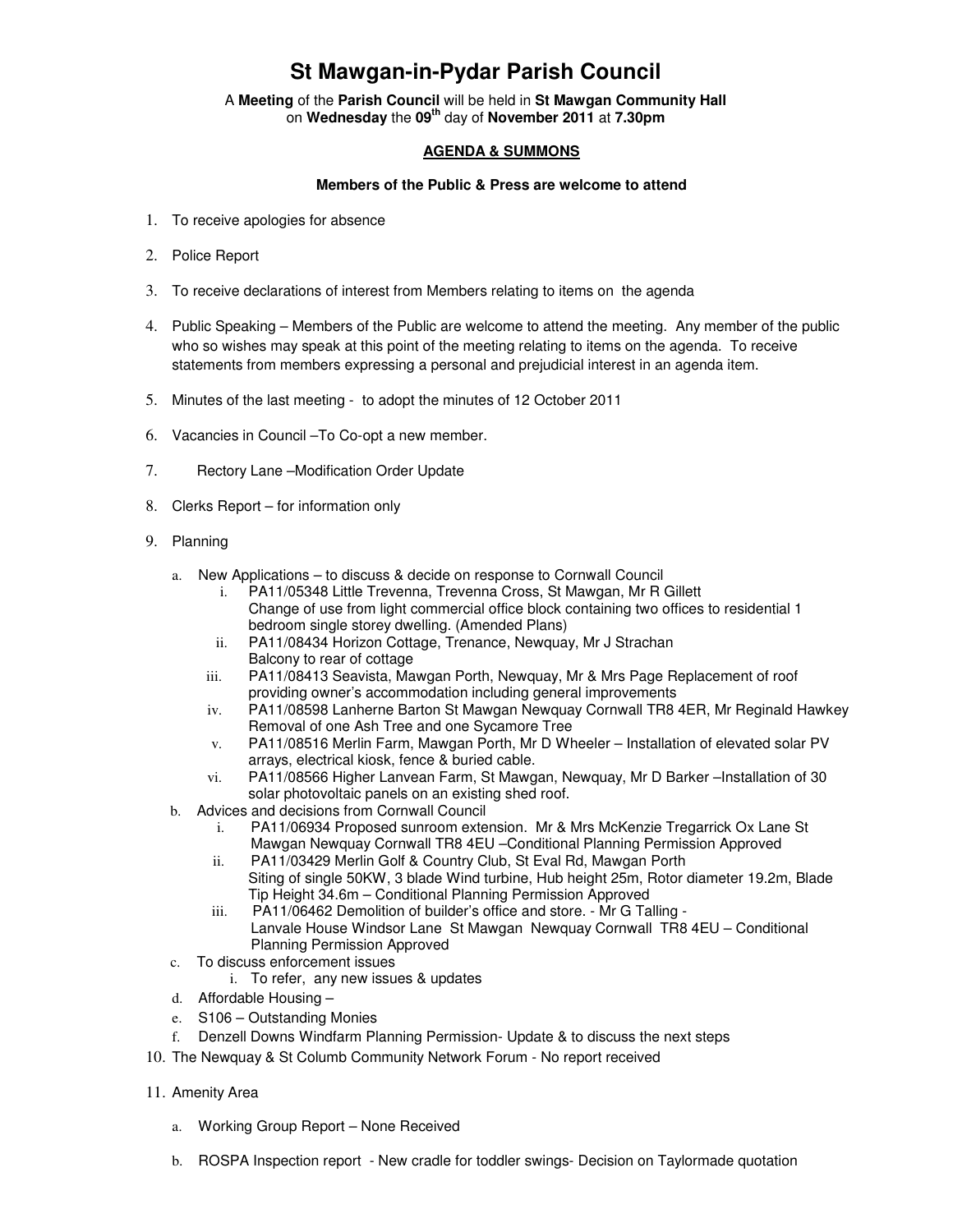## **St Mawgan-in-Pydar Parish Council**

A **Meeting** of the **Parish Council** will be held in **St Mawgan Community Hall** on **Wednesday** the **09th** day of **November 2011** at **7.30pm** 

## **AGENDA & SUMMONS**

## **Members of the Public & Press are welcome to attend**

- 1. To receive apologies for absence
- 2. Police Report
- 3. To receive declarations of interest from Members relating to items on the agenda
- 4. Public Speaking Members of the Public are welcome to attend the meeting. Any member of the public who so wishes may speak at this point of the meeting relating to items on the agenda. To receive statements from members expressing a personal and prejudicial interest in an agenda item.
- 5. Minutes of the last meeting to adopt the minutes of 12 October 2011
- 6. Vacancies in Council –To Co-opt a new member.
- 7. Rectory Lane –Modification Order Update
- 8. Clerks Report for information only
- 9. Planning
	- a. New Applications to discuss & decide on response to Cornwall Council
		- i. PA11/05348 Little Trevenna, Trevenna Cross, St Mawgan, Mr R Gillett Change of use from light commercial office block containing two offices to residential 1 bedroom single storey dwelling. (Amended Plans)
		- ii. PA11/08434 Horizon Cottage, Trenance, Newquay, Mr J Strachan Balcony to rear of cottage
		- iii. PA11/08413 Seavista, Mawgan Porth, Newquay, Mr & Mrs Page Replacement of roof providing owner's accommodation including general improvements
		- iv. PA11/08598 Lanherne Barton St Mawgan Newquay Cornwall TR8 4ER, Mr Reginald Hawkey Removal of one Ash Tree and one Sycamore Tree
		- v. PA11/08516 Merlin Farm, Mawgan Porth, Mr D Wheeler Installation of elevated solar PV arrays, electrical kiosk, fence & buried cable.
		- vi. PA11/08566 Higher Lanvean Farm, St Mawgan, Newquay, Mr D Barker –Installation of 30 solar photovoltaic panels on an existing shed roof.
	- b. Advices and decisions from Cornwall Council
		- i. PA11/06934 Proposed sunroom extension. Mr & Mrs McKenzie Tregarrick Ox Lane St Mawgan Newquay Cornwall TR8 4EU –Conditional Planning Permission Approved
		- ii. PA11/03429 Merlin Golf & Country Club, St Eval Rd, Mawgan Porth Siting of single 50KW, 3 blade Wind turbine, Hub height 25m, Rotor diameter 19.2m, Blade Tip Height 34.6m – Conditional Planning Permission Approved
		- iii. PA11/06462 Demolition of builder's office and store. Mr G Talling Lanvale House Windsor Lane St Mawgan Newquay Cornwall TR8 4EU – Conditional Planning Permission Approved
	- c. To discuss enforcement issues
		- i. To refer, any new issues & updates
	- d. Affordable Housing –
	- e. S106 Outstanding Monies
	- f. Denzell Downs Windfarm Planning Permission- Update & to discuss the next steps
- 10. The Newquay & St Columb Community Network Forum No report received
- 11. Amenity Area
	- a. Working Group Report None Received
	- b. ROSPA Inspection report New cradle for toddler swings- Decision on Taylormade quotation